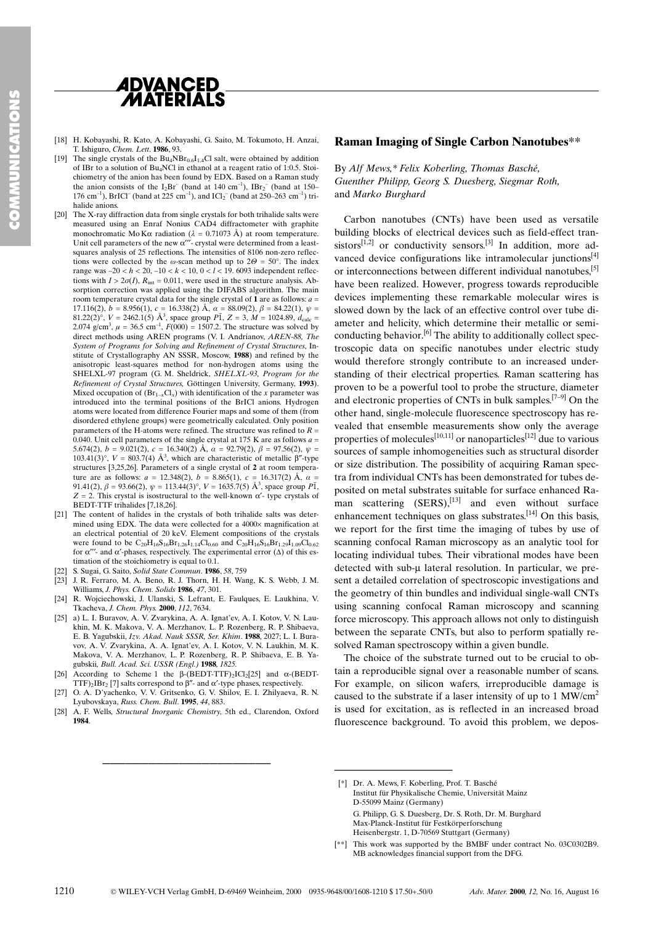

- [18] H. Kobayashi, R. Kato, A. Kobayashi, G. Saito, M. Tokumoto, H. Anzai, T. Ishiguro, Chem. Lett. 1986, 93.
- [19] The single crystals of the  $Bu_4NBr_{0.6}I_{1.4}C1$  salt, were obtained by addition of IBr to a solution of Bu4NCl in ethanol at a reagent ratio of 1:0.5. Stoichiometry of the anion has been found by EDX. Based on a Raman study the anion consists of the  $I_2Br^-$  (band at 140 cm<sup>-1</sup>),  $IBr_2^-$  (band at 150– 176 cm<sup>-1</sup>), BrICl<sup>-</sup> (band at 225 cm<sup>-1</sup>), and ICl<sub>2</sub><sup>-</sup> (band at 250–263 cm<sup>-1</sup>) trihalide anions
- [20] The X-ray diffraction data from single crystals for both trihalide salts were measured using an Enraf Nonius CAD4 diffractometer with graphite monochromatic Mo K $\alpha$  radiation ( $\lambda = 0.71073$  Å) at room temperature. Unit cell parameters of the new  $\alpha$ <sup>\*\*</sup>- crystal were determined from a leastsquares analysis of 25 reflections. The intensities of 8106 non-zero reflections were collected by the  $\omega$ -scan method up to  $2\Theta = 50^{\circ}$ . The index range was  $-20 < h < 20, -10 < k < 10, 0 < l < 19$ . 6093 independent reflections with  $I > 2\sigma(I)$ ,  $R_{int} = 0.011$ , were used in the structure analysis. Absorption correction was applied using the DIFABS algorithm. The main room temperature crystal data for the single crystal of  $\hat{1}$  are as follows:  $a =$ 17.116(2),  $b = 8.956(1)$ ,  $c = 16.338(2)$   $\AA$ ,  $\alpha = 88.09(2)$ ,  $\beta = 84.22(1)$ ,  $\psi =$ 81.22(2)<sup>o</sup>,  $V = 2462.1(5)$  Å<sup>3</sup>, space group  $P\overline{1}$ ,  $Z = 3$ ,  $M = 1024.89$ ,  $d_{\text{calc}} =$ 2.074 g/cm<sup>3</sup>,  $\mu = 36.5$  cm<sup>-1</sup>,  $F(000) = 1507.2$ . The structure was solved by direct methods using AREN programs (V. I. Andrianov, AREN-88, The System of Programs for Solving and Refinement of Crystal Structures, Institute of Crystallography AN SSSR, Moscow, 1988) and refined by the anisotropic least-squares method for non-hydrogen atoms using the SHELXL-97 program (G. M. Sheldrick, SHELXL-93, Program for the Refinement of Crystal Structures, Göttingen University, Germany, 1993). Mixed occupation of  $(Br_{1-x}Cl_x)$  with identification of the x parameter was introduced into the terminal positions of the BrICl anions. Hydrogen atoms were located from difference Fourier maps and some of them (from disordered ethylene groups) were geometrically calculated. Only position parameters of the H-atoms were refined. The structure was refined to  $R =$ 0.040. Unit cell parameters of the single crystal at 175 K are as follows  $a =$ 5.674(2),  $b = 9.021(2)$ ,  $c = 16.340(2)$  Å,  $\alpha = 92.79(2)$ ,  $\beta = 97.56(2)$ ,  $\psi =$ 103.41(3)°,  $V = 803.7(4)$  Å<sup>3</sup>, which are characteristic of metallic  $\beta''$ -type structures [3,25,26]. Parameters of a single crystal of 2 at room temperature are as follows:  $a = 12.348(2)$ ,  $b = 8.865(1)$ ,  $c = 16.317(2)$   $\AA$ ,  $\alpha =$ 91.41(2),  $\beta = 93.66(2), \psi = 113.44(3)^\circ$ ,  $V = 1635.7(5)$  Å<sup>3</sup>, space group  $P\overline{1}$ ,  $Z = 2$ . This crystal is isostructural to the well-known  $\alpha'$ - type crystals of BEDT-TTF trihalides [7,18,26].
- [21] The content of halides in the crystals of both trihalide salts was determined using EDX. The data were collected for a  $4000 \times$  magnification at an electrical potential of 20 keV. Element compositions of the crystals were found to be  $C_{20}H_{16}S_{16}Br_{1,26}I_{1,14}Cl_{0,60}$  and  $C_{20}H_{16}S_{16}Br_{1,29}I_{1,09}Cl_{0,62}$ for  $\alpha''$ - and  $\alpha'$ -phases, respectively. The experimental error ( $\Delta$ ) of this estimation of the stoichiometry is equal to 0.1.
- [22] S. Sugai, G. Saito, Solid State Commun. 1986, 58, 759
- [23] J. R. Ferraro, M. A. Beno, R. J. Thorn, H. H. Wang, K. S. Webb, J. M. Williams, J. Phys. Chem. Solids 1986, 47, 301.
- [24] R. Wojciechowski, J. Ulanski, S. Lefrant, E. Faulques, E. Laukhina, V. Tkacheva, J. Chem. Phys. 2000, 112, 7634.
- [25] a) L. I. Buravov, A. V. Zvarykina, A. A. Ignat'ev, A. I. Kotov, V. N. Laukhin, M. K. Makova, V. A. Merzhanov, L. P. Rozenberg, R. P. Shibaeva, E. B. Yagubskii, Izv. Akad. Nauk SSSR, Ser. Khim. 1988, 2027; L. I. Buravov, A. V. Zvarykina, A. A. Ignat'ev, A. I. Kotov, V. N. Laukhin, M. K. Makova, V. A. Merzhanov, L. P. Rozenberg, R. P. Shibaeva, E. B. Yagubskii, Bull. Acad. Sci. USSR (Engl.) 1988, 1825. echowski, J. Ulanski, S. Lefarni, E. Faulques, E. Laukhina, V.<br>
a. J. Chem. Phys. 2000, 1/12, 7634.<br>
K. Nakova, V. Zvarykina, A. A. Ignat'ev, A. I. Kotov, V. N. Lau-<br>
force microscopy. This approximates and Nauk SSSR, Ser.
- [26] According to Scheme 1 the  $\beta$ -(BEDT-TTF)<sub>2</sub>ICl<sub>2</sub>[25] and  $\alpha$ -(BEDT-TTF)<sub>2</sub>IBr<sub>2</sub> [7] salts correspond to  $\beta$ "- and  $\alpha$ '-type phases, respectively.
- [27] O. A. D'yachenko, V. V. Gritsenko, G. V. Shilov, E. I. Zhilyaeva, R. N. Lyubovskaya, Russ. Chem. Bull. 1995, 44, 883.
- [28] A. F. Wells, Structural Inorganic Chemistry, 5th ed., Clarendon, Oxford 1984.

#### Raman Imaging of Single Carbon Nanotubes\*\*

## By Alf Mews,\* Felix Koberling, Thomas Basché, Guenther Philipp, Georg S. Duesberg, Siegmar Roth, and Marko Burghard

Carbon nanotubes (CNTs) have been used as versatile building blocks of electrical devices such as field-effect transistors $[1,2]$  or conductivity sensors.<sup>[3]</sup> In addition, more advanced device configurations like intramolecular junctions<sup>[4]</sup> or interconnections between different individual nanotubes,<sup>[5]</sup> have been realized. However, progress towards reproducible devices implementing these remarkable molecular wires is slowed down by the lack of an effective control over tube diameter and helicity, which determine their metallic or semiconducting behavior.[6] The ability to additionally collect spectroscopic data on specific nanotubes under electric study would therefore strongly contribute to an increased understanding of their electrical properties. Raman scattering has proven to be a powerful tool to probe the structure, diameter and electronic properties of CNTs in bulk samples.<sup>[7-9]</sup> On the other hand, single-molecule fluorescence spectroscopy has revealed that ensemble measurements show only the average properties of molecules<sup>[10,11]</sup> or nanoparticles<sup>[12]</sup> due to various sources of sample inhomogeneities such as structural disorder or size distribution. The possibility of acquiring Raman spectra from individual CNTs has been demonstrated for tubes deposited on metal substrates suitable for surface enhanced Raman scattering  $(SERS)$ , <sup>[13]</sup> and even without surface enhancement techniques on glass substrates.<sup>[14]</sup> On this basis, we report for the first time the imaging of tubes by use of scanning confocal Raman microscopy as an analytic tool for locating individual tubes. Their vibrational modes have been detected with sub- $\mu$  lateral resolution. In particular, we present a detailed correlation of spectroscopic investigations and the geometry of thin bundles and individual single-wall CNTs using scanning confocal Raman microscopy and scanning force microscopy. This approach allows not only to distinguish between the separate CNTs, but also to perform spatially resolved Raman spectroscopy within a given bundle.

The choice of the substrate turned out to be crucial to obtain a reproducible signal over a reasonable number of scans. For example, on silicon wafers, irreproducible damage is caused to the substrate if a laser intensity of up to 1 MW/cm<sup>2</sup> is used for excitation, as is reflected in an increased broad fluorescence background. To avoid this problem, we depos-

G. Philipp, G. S. Duesberg, Dr. S. Roth, Dr. M. Burghard Max-Planck-Institut für Festkörperforschung Heisenbergstr. 1, D-70569 Stuttgart (Germany)

<sup>[\*]</sup> Dr. A. Mews, F. Koberling, Prof. T. Basché Institut für Physikalische Chemie, Universität Mainz D-55099 Mainz (Germany)

<sup>[\*\*]</sup> This work was supported by the BMBF under contract No. 03C0302B9. MB acknowledges financial support from the DFG.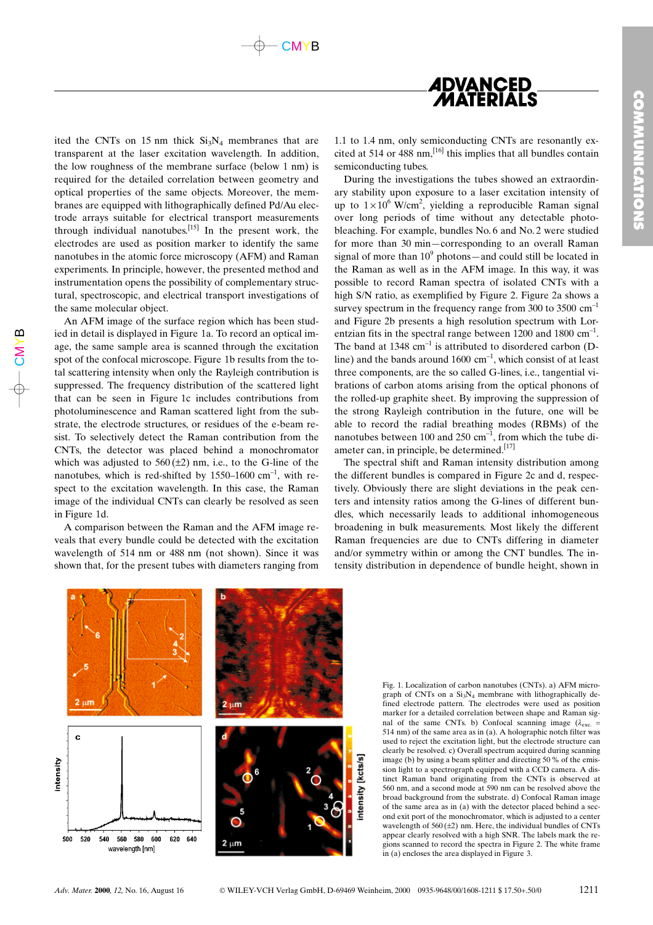



ited the CNTs on 15 nm thick  $Si<sub>3</sub>N<sub>4</sub>$  membranes that are transparent at the laser excitation wavelength. In addition, the low roughness of the membrane surface (below 1 nm) is required for the detailed correlation between geometry and optical properties of the same objects. Moreover, the membranes are equipped with lithographically defined Pd/Au electrode arrays suitable for electrical transport measurements through individual nanotubes.[15] In the present work, the electrodes are used as position marker to identify the same nanotubes in the atomic force microscopy (AFM) and Raman experiments. In principle, however, the presented method and instrumentation opens the possibility of complementary structural, spectroscopic, and electrical transport investigations of the same molecular object.

An AFM image of the surface region which has been studied in detail is displayed in Figure 1a. To record an optical image, the same sample area is scanned through the excitation spot of the confocal microscope. Figure 1b results from the total scattering intensity when only the Rayleigh contribution is suppressed. The frequency distribution of the scattered light that can be seen in Figure 1c includes contributions from photoluminescence and Raman scattered light from the substrate, the electrode structures, or residues of the e-beam resist. To selectively detect the Raman contribution from the CNTs, the detector was placed behind a monochromator which was adjusted to  $560 (\pm 2)$  nm, i.e., to the G-line of the nanotubes, which is red-shifted by  $1550-1600$  cm<sup>-1</sup>, with respect to the excitation wavelength. In this case, the Raman image of the individual CNTs can clearly be resolved as seen in Figure 1d.

 $\mathsf{\mathsf{C}}$ ⋝  $\left. \right.$ മ

> A comparison between the Raman and the AFM image reveals that every bundle could be detected with the excitation wavelength of 514 nm or 488 nm (not shown). Since it was shown that, for the present tubes with diameters ranging from

1.1 to 1.4 nm, only semiconducting CNTs are resonantly excited at 514 or 488 nm,<sup>[16]</sup> this implies that all bundles contain semiconducting tubes.

During the investigations the tubes showed an extraordinary stability upon exposure to a laser excitation intensity of up to  $1 \times 10^6$  W/cm<sup>2</sup>, yielding a reproducible Raman signal over long periods of time without any detectable photobleaching. For example, bundles No. 6 and No. 2 were studied for more than 30 min-corresponding to an overall Raman signal of more than  $10^9$  photons—and could still be located in the Raman as well as in the AFM image. In this way, it was possible to record Raman spectra of isolated CNTs with a high S/N ratio, as exemplified by Figure 2. Figure 2a shows a survey spectrum in the frequency range from 300 to 3500  $cm^{-1}$ and Figure 2b presents a high resolution spectrum with Lorentzian fits in the spectral range between 1200 and 1800  $cm^{-1}$ . The band at  $1348 \text{ cm}^{-1}$  is attributed to disordered carbon (Dline) and the bands around  $1600 \text{ cm}^{-1}$ , which consist of at least three components, are the so called G-lines, i.e., tangential vibrations of carbon atoms arising from the optical phonons of the rolled-up graphite sheet. By improving the suppression of the strong Rayleigh contribution in the future, one will be able to record the radial breathing modes (RBMs) of the nanotubes between 100 and 250  $cm^{-1}$ , from which the tube diameter can, in principle, be determined.<sup>[17]</sup>

The spectral shift and Raman intensity distribution among the different bundles is compared in Figure 2c and d, respectively. Obviously there are slight deviations in the peak centers and intensity ratios among the G-lines of different bundles, which necessarily leads to additional inhomogeneous broadening in bulk measurements. Most likely the different Raman frequencies are due to CNTs differing in diameter and/or symmetry within or among the CNT bundles. The intensity distribution in dependence of bundle height, shown in



graph of CNTs on a  $Si<sub>3</sub>N<sub>4</sub>$  membrane with lithographically defined electrode pattern. The electrodes were used as position marker for a detailed correlation between shape and Raman signal of the same CNTs. b) Confocal scanning image  $(\lambda_{\text{exc}} =$ 514 nm) of the same area as in (a). A holographic notch filter was used to reject the excitation light, but the electrode structure can clearly be resolved. c) Overall spectrum acquired during scanning image (b) by using a beam splitter and directing 50 % of the emission light to a spectrograph equipped with a CCD camera. A distinct Raman band originating from the CNTs is observed at 560 nm, and a second mode at 590 nm can be resolved above the broad background from the substrate. d) Confocal Raman image of the same area as in (a) with the detector placed behind a second exit port of the monochromator, which is adjusted to a center wavelength of  $560 (\pm 2)$  nm. Here, the individual bundles of CNTs appear clearly resolved with a high SNR. The labels mark the regions scanned to record the spectra in Figure 2. The white frame in (a) encloses the area displayed in Figure 3.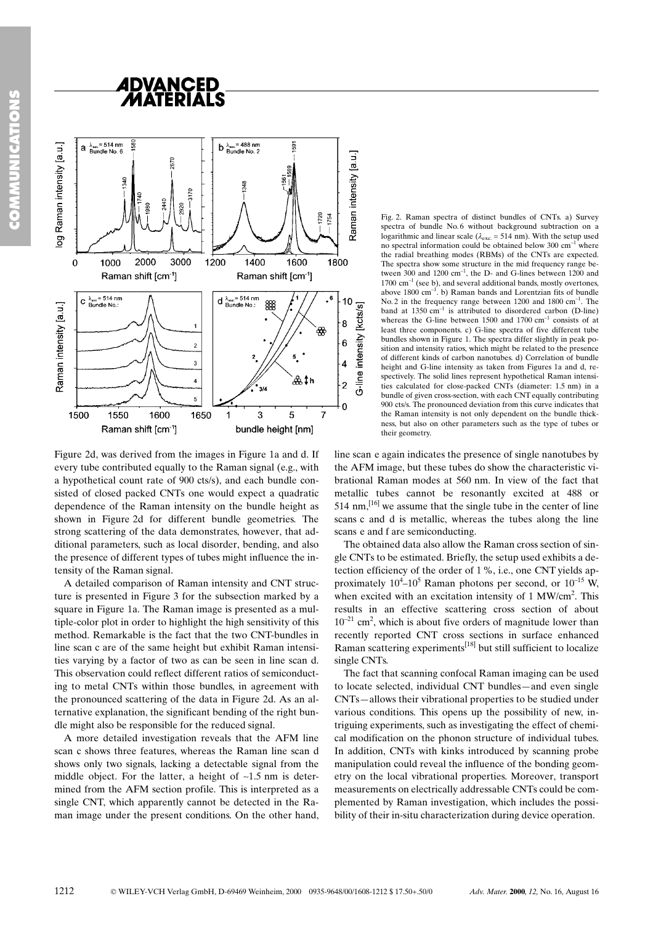



Figure 2d, was derived from the images in Figure 1a and d. If every tube contributed equally to the Raman signal (e.g., with a hypothetical count rate of 900 cts/s), and each bundle consisted of closed packed CNTs one would expect a quadratic dependence of the Raman intensity on the bundle height as shown in Figure 2d for different bundle geometries. The strong scattering of the data demonstrates, however, that additional parameters, such as local disorder, bending, and also the presence of different types of tubes might influence the intensity of the Raman signal.

A detailed comparison of Raman intensity and CNT structure is presented in Figure 3 for the subsection marked by a square in Figure 1a. The Raman image is presented as a multiple-color plot in order to highlight the high sensitivity of this method. Remarkable is the fact that the two CNT-bundles in line scan c are of the same height but exhibit Raman intensities varying by a factor of two as can be seen in line scan d. This observation could reflect different ratios of semiconducting to metal CNTs within those bundles, in agreement with the pronounced scattering of the data in Figure 2d. As an alternative explanation, the significant bending of the right bundle might also be responsible for the reduced signal.

A more detailed investigation reveals that the AFM line scan c shows three features, whereas the Raman line scan d shows only two signals, lacking a detectable signal from the middle object. For the latter, a height of  $\sim 1.5$  nm is determined from the AFM section profile. This is interpreted as a single CNT, which apparently cannot be detected in the Raman image under the present conditions. On the other hand, Fig. 2. Raman spectra of distinct bundles of CNTs. a) Survey spectra of bundle No. 6 without background subtraction on a logarithmic and linear scale ( $\lambda_{\text{exc}}$  = 514 nm). With the setup used no spectral information could be obtained below 300  $cm^{-1}$  where the radial breathing modes (RBMs) of the CNTs are expected. The spectra show some structure in the mid frequency range between  $300$  and  $1200 \text{ cm}^{-1}$ , the D- and G-lines between  $1200$  and  $1700 \text{ cm}^{-1}$  (see b), and several additional bands, mostly overtones, above  $1800 \text{ cm}^{-1}$ . b) Raman bands and Lorentzian fits of bundle No. 2 in the frequency range between  $1200$  and  $1800$   $cm^{-1}$ . The band at  $1350 \text{ cm}^{-1}$  is attributed to disordered carbon (D-line) whereas the G-line between 1500 and 1700  $cm^{-1}$  consists of at least three components. c) G-line spectra of five different tube bundles shown in Figure 1. The spectra differ slightly in peak position and intensity ratios, which might be related to the presence of different kinds of carbon nanotubes. d) Correlation of bundle height and G-line intensity as taken from Figures 1a and d, respectively. The solid lines represent hypothetical Raman intensities calculated for close-packed CNTs (diameter: 1.5 nm) in a bundle of given cross-section, with each CNT equally contributing 900 cts/s. The pronounced deviation from this curve indicates that the Raman intensity is not only dependent on the bundle thickness, but also on other parameters such as the type of tubes or their geometry.

line scan e again indicates the presence of single nanotubes by the AFM image, but these tubes do show the characteristic vibrational Raman modes at 560 nm. In view of the fact that metallic tubes cannot be resonantly excited at 488 or 514 nm,<sup>[16]</sup> we assume that the single tube in the center of line scans c and d is metallic, whereas the tubes along the line scans e and f are semiconducting.

The obtained data also allow the Raman cross section of single CNTs to be estimated. Briefly, the setup used exhibits a detection efficiency of the order of 1%, i.e., one CNT yields approximately  $10^4$ – $10^5$  Raman photons per second, or  $10^{-15}$  W, when excited with an excitation intensity of 1  $MW/cm<sup>2</sup>$ . This results in an effective scattering cross section of about  $10^{-21}$  cm<sup>2</sup>, which is about five orders of magnitude lower than recently reported CNT cross sections in surface enhanced Raman scattering experiments $^{[18]}$  but still sufficient to localize single CNTs.

The fact that scanning confocal Raman imaging can be used to locate selected, individual CNT bundles—and even single CNTs-allows their vibrational properties to be studied under various conditions. This opens up the possibility of new, intriguing experiments, such as investigating the effect of chemical modification on the phonon structure of individual tubes. In addition, CNTs with kinks introduced by scanning probe manipulation could reveal the influence of the bonding geometry on the local vibrational properties. Moreover, transport measurements on electrically addressable CNTs could be complemented by Raman investigation, which includes the possibility of their in-situ characterization during device operation.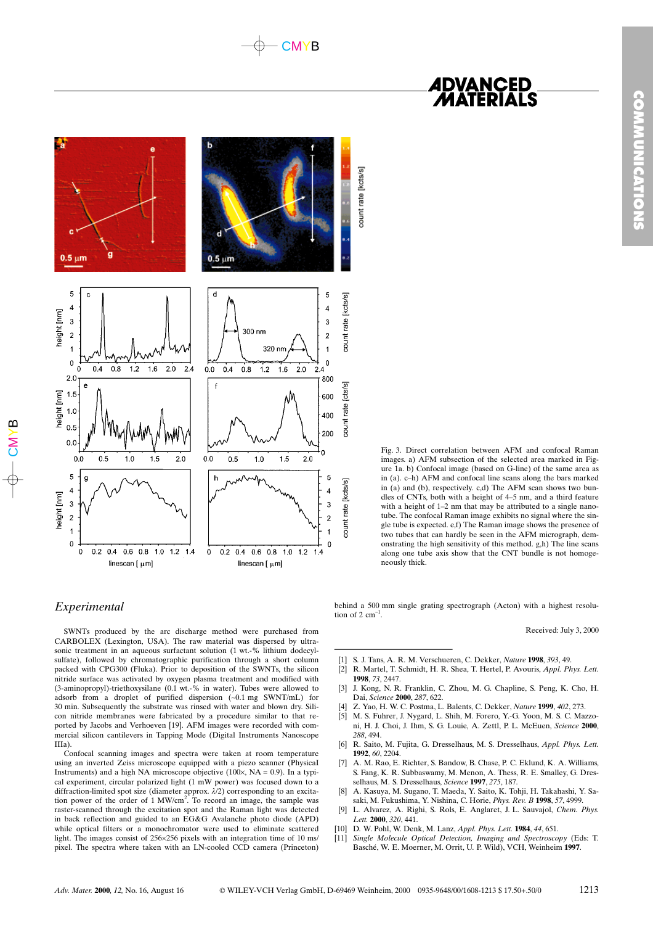



## Experimental

SWNTs produced by the arc discharge method were purchased from CARBOLEX (Lexington, USA). The raw material was dispersed by ultrasonic treatment in an aqueous surfactant solution (1 wt.-% lithium dodecylsulfate), followed by chromatographic purification through a short column packed with CPG300 (Fluka). Prior to deposition of the SWNTs, the silicon nitride surface was activated by oxygen plasma treatment and modified with (3-aminopropyl)-triethoxysilane (0.1 wt.-% in water). Tubes were allowed to adsorb from a droplet of purified dispersion (~0.1 mg SWNT/mL) for 30 min. Subsequently the substrate was rinsed with water and blown dry. Silicon nitride membranes were fabricated by a procedure similar to that reported by Jacobs and Verhoeven [19]. AFM images were recorded with commercial silicon cantilevers in Tapping Mode (Digital Instruments Nanoscope IIIa).

Confocal scanning images and spectra were taken at room temperature using an inverted Zeiss microscope equipped with a piezo scanner (PhysicaI Instruments) and a high NA microscope objective (100 $\times$ , NA = 0.9). In a typical experiment, circular polarized light (1 mW power) was focused down to a diffraction-limited spot size (diameter approx.  $\lambda/2$ ) corresponding to an excitation power of the order of 1 MW/cm<sup>2</sup>. To record an image, the sample was raster-scanned through the excitation spot and the Raman light was detected in back reflection and guided to an EG&G Avalanche photo diode (APD) while optical filters or a monochromator were used to eliminate scattered light. The images consist of 256256 pixels with an integration time of 10 ms/ pixel. The spectra where taken with an LN-cooled CCD camera (Princeton) *ADVANCED<br>MATERIALS* 

 $\frac{1}{2}$  in (a). c-h) AFM and<br>in (a) and (b), respect<br>dles of CNTs, both with<br>definition of 1-2 it the confocal Rangle to the confocal Rangle to the confocal Rangle to the scaling tends of the along one tube axis is<br>neou Fig. 3. Direct correlation between AFM and confocal Raman images. a) AFM subsection of the selected area marked in Figure 1a. b) Confocal image (based on G-line) of the same area as in (a). c-h) AFM and confocal line scans along the bars marked in  $(a)$  and  $(b)$ , respectively. c,d) The AFM scan shows two bundles of CNTs, both with a height of 4-5 nm, and a third feature with a height of  $1-2$  nm that may be attributed to a single nanotube. The confocal Raman image exhibits no signal where the single tube is expected. e,f) The Raman image shows the presence of two tubes that can hardly be seen in the AFM micrograph, demonstrating the high sensitivity of this method. g,h) The line scans along one tube axis show that the CNT bundle is not homogeneously thick.

behind a 500 mm single grating spectrograph (Acton) with a highest resolution of  $2 \text{ cm}^{-1}$ .

Received: July 3, 2000

- S. J. Tans, A. R. M. Verschueren, C. Dekker, Nature 1998, 393, 49.
- [2] R. Martel, T. Schmidt, H. R. Shea, T. Hertel, P. Avouris, *Appl. Phys. Lett.* 1998, 73, 2447.
- [3] J. Kong, N. R. Franklin, C. Zhou, M. G. Chapline, S. Peng, K. Cho, H. Dai, Science 2000, 287, 622.
- [4] Z. Yao, H. W. C. Postma, L. Balents, C. Dekker, Nature 1999, 402, 273.
- [5] M. S. Fuhrer, J. Nygard, L. Shih, M. Forero, Y. G. Yoon, M. S. C. Mazzoni, H. J. Choi, J. Ihm, S. G. Louie, A. Zettl, P. L. McEuen, Science 2000, 288, 494.
- [6] R. Saito, M. Fujita, G. Dresselhaus, M. S. Dresselhaus, Appl. Phys. Lett. 1992, 60, 2204.
- [7] A. M. Rao, E. Richter, S. Bandow, B. Chase, P. C. Eklund, K. A. Williams, S. Fang, K. R. Subbaswamy, M. Menon, A. Thess, R. E. Smalley, G. Dresselhaus, M. S. Dresselhaus, Science 1997, 275, 187.
- [8] A. Kasuya, M. Sugano, T. Maeda, Y. Saito, K. Tohji, H. Takahashi, Y. Sasaki, M. Fukushima, Y. Nishina, C. Horie, Phys. Rev. B 1998, 57, 4999.
- L. Alvarez, A. Righi, S. Rols, E. Anglaret, J. L. Sauvajol, Chem. Phys. Lett. 2000, 320, 441.
- [10] D. W. Pohl, W. Denk, M. Lanz, Appl. Phys. Lett. 1984, 44, 651.
- Single Molecule Optical Detection, Imaging and Spectroscopy (Eds: T. Basché, W. E. Moerner, M. Orrit, U. P. Wild), VCH, Weinheim 1997.

 $\mathord{\mathsf{C}}$ ⋝  $\succ$ 

മ